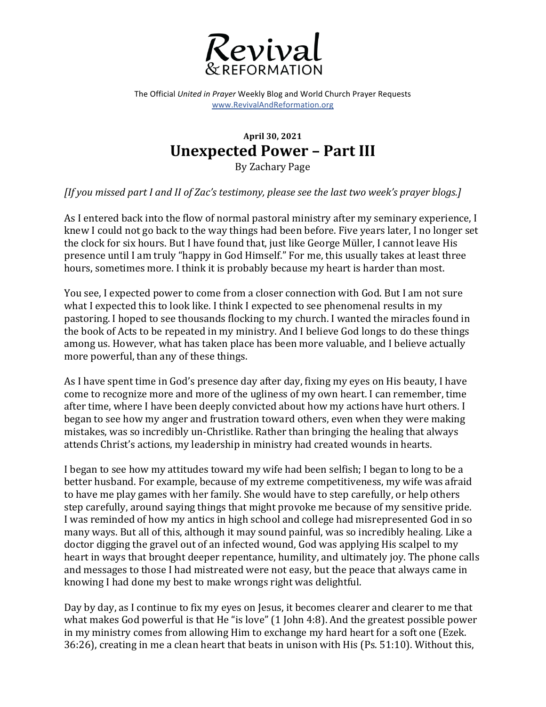

The Official *United in Prayer* Weekly Blog and World Church Prayer Requests www.RevivalAndReformation.org

## **April 30, 2021 Unexpected Power - Part III**

By Zachary Page

*[If you missed part I and II of Zac's testimony, please see the last two week's prayer blogs.]* 

As I entered back into the flow of normal pastoral ministry after my seminary experience, I knew I could not go back to the way things had been before. Five years later, I no longer set the clock for six hours. But I have found that, just like George Müller, I cannot leave His presence until I am truly "happy in God Himself." For me, this usually takes at least three hours, sometimes more. I think it is probably because my heart is harder than most.

You see, I expected power to come from a closer connection with God. But I am not sure what I expected this to look like. I think I expected to see phenomenal results in my pastoring. I hoped to see thousands flocking to my church. I wanted the miracles found in the book of Acts to be repeated in my ministry. And I believe God longs to do these things among us. However, what has taken place has been more valuable, and I believe actually more powerful, than any of these things.

As I have spent time in God's presence day after day, fixing my eyes on His beauty, I have come to recognize more and more of the ugliness of my own heart. I can remember, time after time, where I have been deeply convicted about how my actions have hurt others. I began to see how my anger and frustration toward others, even when they were making mistakes, was so incredibly un-Christlike. Rather than bringing the healing that always attends Christ's actions, my leadership in ministry had created wounds in hearts.

I began to see how my attitudes toward my wife had been selfish; I began to long to be a better husband. For example, because of my extreme competitiveness, my wife was afraid to have me play games with her family. She would have to step carefully, or help others step carefully, around saying things that might provoke me because of my sensitive pride. I was reminded of how my antics in high school and college had misrepresented God in so many ways. But all of this, although it may sound painful, was so incredibly healing. Like a doctor digging the gravel out of an infected wound, God was applying His scalpel to my heart in ways that brought deeper repentance, humility, and ultimately joy. The phone calls and messages to those I had mistreated were not easy, but the peace that always came in knowing I had done my best to make wrongs right was delightful.

Day by day, as I continue to fix my eyes on Jesus, it becomes clearer and clearer to me that what makes God powerful is that He "is love"  $(1$  John 4:8). And the greatest possible power in my ministry comes from allowing Him to exchange my hard heart for a soft one (Ezek.  $36:26$ ), creating in me a clean heart that beats in unison with His (Ps. 51:10). Without this,